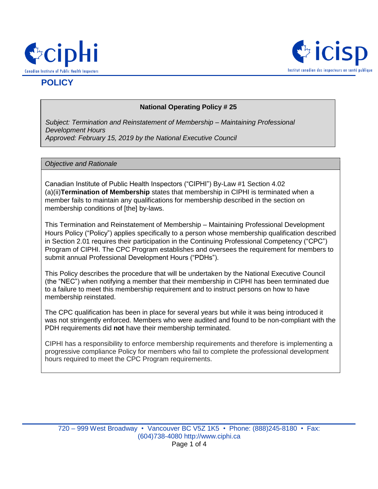



# **POLICY**

## **National Operating Policy # 25**

*Subject: Termination and Reinstatement of Membership – Maintaining Professional Development Hours Approved: February 15, 2019 by the National Executive Council*

#### *Objective and Rationale*

Canadian Institute of Public Health Inspectors ("CIPHI") By-Law #1 Section 4.02 (a)(ii)**Termination of Membership** states that membership in CIPHI is terminated when a member fails to maintain any qualifications for membership described in the section on membership conditions of [the] by-laws.

This Termination and Reinstatement of Membership – Maintaining Professional Development Hours Policy ("Policy") applies specifically to a person whose membership qualification described in Section 2.01 requires their participation in the Continuing Professional Competency ("CPC") Program of CIPHI. The CPC Program establishes and oversees the requirement for members to submit annual Professional Development Hours ("PDHs").

This Policy describes the procedure that will be undertaken by the National Executive Council (the "NEC") when notifying a member that their membership in CIPHI has been terminated due to a failure to meet this membership requirement and to instruct persons on how to have membership reinstated.

The CPC qualification has been in place for several years but while it was being introduced it was not stringently enforced. Members who were audited and found to be non-compliant with the PDH requirements did **not** have their membership terminated.

CIPHI has a responsibility to enforce membership requirements and therefore is implementing a progressive compliance Policy for members who fail to complete the professional development hours required to meet the CPC Program requirements.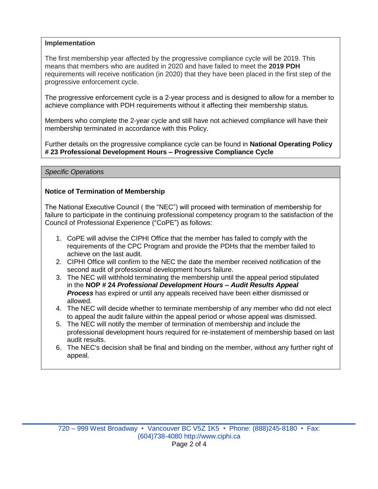## **Implementation**

The first membership year affected by the progressive compliance cycle will be 2019. This means that members who are audited in 2020 and have failed to meet the **2019 PDH** requirements will receive notification (in 2020) that they have been placed in the first step of the progressive enforcement cycle.

The progressive enforcement cycle is a 2-year process and is designed to allow for a member to achieve compliance with PDH requirements without it affecting their membership status.

Members who complete the 2-year cycle and still have not achieved compliance will have their membership terminated in accordance with this Policy.

Further details on the progressive compliance cycle can be found in **National Operating Policy # 23 Professional Development Hours – Progressive Compliance Cycle**

*Specific Operations*

### **Notice of Termination of Membership**

The National Executive Council ( the "NEC") will proceed with termination of membership for failure to participate in the continuing professional competency program to the satisfaction of the Council of Professional Experience ("CoPE") as follows:

- 1. CoPE will advise the CIPHI Office that the member has failed to comply with the requirements of the CPC Program and provide the PDHs that the member failed to achieve on the last audit.
- 2. CIPHI Office will confirm to the NEC the date the member received notification of the second audit of professional development hours failure.
- 3. The NEC will withhold terminating the membership until the appeal period stipulated in the **NOP # 24** *Professional Development Hours* **–** *Audit Results Appeal Process* has expired or until any appeals received have been either dismissed or allowed.
- 4. The NEC will decide whether to terminate membership of any member who did not elect to appeal the audit failure within the appeal period or whose appeal was dismissed.
- 5. The NEC will notify the member of termination of membership and include the professional development hours required for re-instatement of membership based on last audit results.
- 6. The NEC's decision shall be final and binding on the member, without any further right of appeal.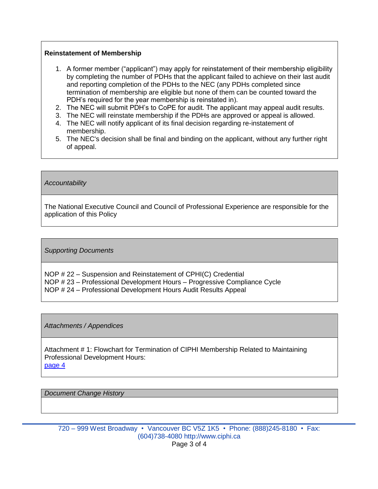#### **Reinstatement of Membership**

- 1. A former member ("applicant") may apply for reinstatement of their membership eligibility by completing the number of PDHs that the applicant failed to achieve on their last audit and reporting completion of the PDHs to the NEC (any PDHs completed since termination of membership are eligible but none of them can be counted toward the PDH's required for the year membership is reinstated in).
- 2. The NEC will submit PDH's to CoPE for audit. The applicant may appeal audit results.
- 3. The NEC will reinstate membership if the PDHs are approved or appeal is allowed.
- 4. The NEC will notify applicant of its final decision regarding re-instatement of membership.
- 5. The NEC's decision shall be final and binding on the applicant, without any further right of appeal.

*Accountability*

The National Executive Council and Council of Professional Experience are responsible for the application of this Policy

*Supporting Documents* 

NOP # 22 – Suspension and Reinstatement of CPHI(C) Credential NOP # 23 – Professional Development Hours – Progressive Compliance Cycle NOP # 24 – Professional Development Hours Audit Results Appeal

*Attachments / Appendices*

Attachment # 1: Flowchart for Termination of CIPHI Membership Related to Maintaining Professional Development Hours: [page 4](#page-3-0)

*Document Change History*